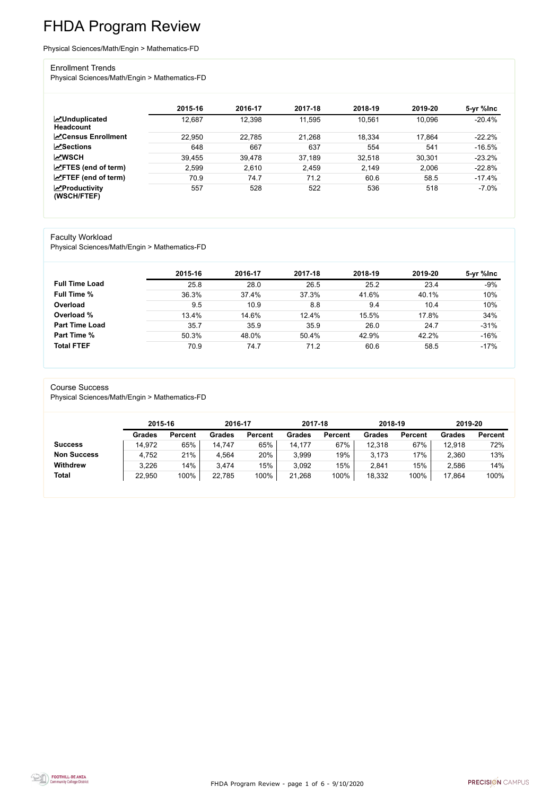FHDA Program Review - page 1 of 6 - 9/10/2020



# FHDA Program Review

#### Physical Sciences/Math/Engin > Mathematics-FD

#### Enrollment Trends

Physical Sciences/Math/Engin > Mathematics-FD

|                                          | 2015-16 | 2016-17 | 2017-18 | 2018-19 | 2019-20 | 5-yr %lnc |
|------------------------------------------|---------|---------|---------|---------|---------|-----------|
| <b>MUnduplicated</b><br><b>Headcount</b> | 12,687  | 12,398  | 11,595  | 10,561  | 10,096  | $-20.4%$  |
| <b>∠</b> Census Enrollment               | 22,950  | 22,785  | 21,268  | 18,334  | 17,864  | $-22.2%$  |
| $\mathbf{z}$ Sections                    | 648     | 667     | 637     | 554     | 541     | $-16.5%$  |
| <b>MWSCH</b>                             | 39,455  | 39,478  | 37,189  | 32,518  | 30,301  | $-23.2%$  |
| $\angle$ FTES (end of term)              | 2,599   | 2,610   | 2,459   | 2,149   | 2,006   | $-22.8%$  |
| $\angle$ FTEF (end of term)              | 70.9    | 74.7    | 71.2    | 60.6    | 58.5    | $-17.4%$  |
| $\chi$ Productivity<br>(WSCH/FTEF)       | 557     | 528     | 522     | 536     | 518     | $-7.0\%$  |

#### Faculty Workload

Physical Sciences/Math/Engin > Mathematics-FD

|                       | 2015-16 | 2016-17 | 2017-18 | 2018-19 | 2019-20 | 5-yr %lnc |
|-----------------------|---------|---------|---------|---------|---------|-----------|
| <b>Full Time Load</b> | 25.8    | 28.0    | 26.5    | 25.2    | 23.4    | $-9%$     |
| <b>Full Time %</b>    | 36.3%   | 37.4%   | 37.3%   | 41.6%   | 40.1%   | 10%       |
| Overload              | 9.5     | 10.9    | 8.8     | 9.4     | 10.4    | 10%       |
| Overload %            | 13.4%   | 14.6%   | 12.4%   | 15.5%   | 17.8%   | 34%       |
| <b>Part Time Load</b> | 35.7    | 35.9    | 35.9    | 26.0    | 24.7    | $-31%$    |
| <b>Part Time %</b>    | 50.3%   | 48.0%   | 50.4%   | 42.9%   | 42.2%   | $-16%$    |
| <b>Total FTEF</b>     | 70.9    | 74.7    | 71.2    | 60.6    | 58.5    | $-17%$    |

#### Course Success

Physical Sciences/Math/Engin > Mathematics-FD

|                    |               | 2015-16        |               | 2016-17        | 2017-18       |                | 2018-19       |                | 2019-20       |                |
|--------------------|---------------|----------------|---------------|----------------|---------------|----------------|---------------|----------------|---------------|----------------|
|                    | <b>Grades</b> | <b>Percent</b> | <b>Grades</b> | <b>Percent</b> | <b>Grades</b> | <b>Percent</b> | <b>Grades</b> | <b>Percent</b> | <b>Grades</b> | <b>Percent</b> |
| <b>Success</b>     | 14,972        | 65%            | 14,747        | 65%            | 14,177        | 67%            | 12,318        | 67%            | 12,918        | 72%            |
| <b>Non Success</b> | 4,752         | 21%            | 4,564         | 20%            | 3,999         | 19%            | 3,173         | 17%            | 2,360         | 13%            |
| <b>Withdrew</b>    | 3,226         | 14%            | 3,474         | 15%            | 3,092         | 15%            | 2,841         | 15%            | 2,586         | 14%            |
| <b>Total</b>       | 22,950        | 100%           | 22,785        | 100%           | 21,268        | 100%           | 18,332        | 100%           | 17,864        | 100%           |

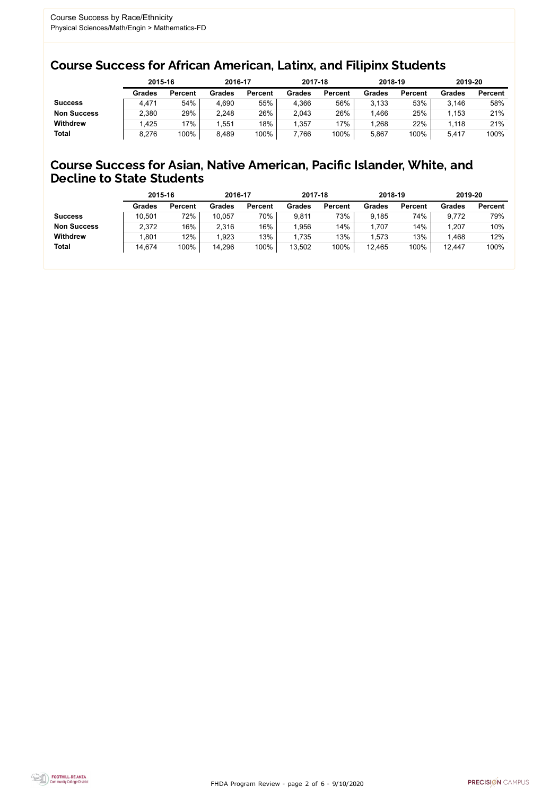FHDA Program Review - page 2 of 6 - 9/10/2020



### Course Success for African American, Latinx, and Filipinx Students

### Course Success for Asian, Native American, Pacific Islander, White, and Decline to State Students

|                    |               | 2015-16        |               | 2016-17        |               | 2017-18        | 2018-19          |                | 2019-20 |                |
|--------------------|---------------|----------------|---------------|----------------|---------------|----------------|------------------|----------------|---------|----------------|
|                    | <b>Grades</b> | <b>Percent</b> | <b>Grades</b> | <b>Percent</b> | <b>Grades</b> | <b>Percent</b> | <b>Grades</b>    | <b>Percent</b> | Grades  | <b>Percent</b> |
| <b>Success</b>     | 4,471         | 54%            | 4,690         | 55%            | 4,366         | 56%            | 3,133            | 53%            | 3,146   | 58%            |
| <b>Non Success</b> | 2,380         | 29%            | 2,248         | 26%            | 2,043         | 26%            | .466             | 25%            | 1,153   | 21%            |
| <b>Withdrew</b>    | .425          | 17%            | .551          | 18%            | 1,357         | $17\%$         | $^{\circ}$ , 268 | 22%            | 1,118   | 21%            |
| <b>Total</b>       | 8,276         | 100%           | 8,489         | 100%           | 7,766         | 100%           | 5,867            | 100%           | 5,417   | 100%           |

|                    | 2015-16       |                | 2016-17       |                | 2017-18       |                | 2018-19       |                | 2019-20       |                |
|--------------------|---------------|----------------|---------------|----------------|---------------|----------------|---------------|----------------|---------------|----------------|
|                    | <b>Grades</b> | <b>Percent</b> | <b>Grades</b> | <b>Percent</b> | <b>Grades</b> | <b>Percent</b> | <b>Grades</b> | <b>Percent</b> | <b>Grades</b> | <b>Percent</b> |
| <b>Success</b>     | 10,501        | 72%            | 10,057        | 70%            | 9,811         | 73%            | 9.185         | 74%            | 9,772         | 79%            |
| <b>Non Success</b> | 2,372         | 16%            | 2,316         | 16%            | 1,956         | 14%            | ,707          | 14%            | 1,207         | 10%            |
| <b>Withdrew</b>    | 1,801         | 12%            | 1,923         | 13%            | 1,735         | 13%            | .573          | 13%            | .468          | 12%            |
| <b>Total</b>       | 14,674        | 100%           | 14,296        | 100%           | 13,502        | 100%           | 12,465        | 100%           | 12,447        | 100%           |
|                    |               |                |               |                |               |                |               |                |               |                |

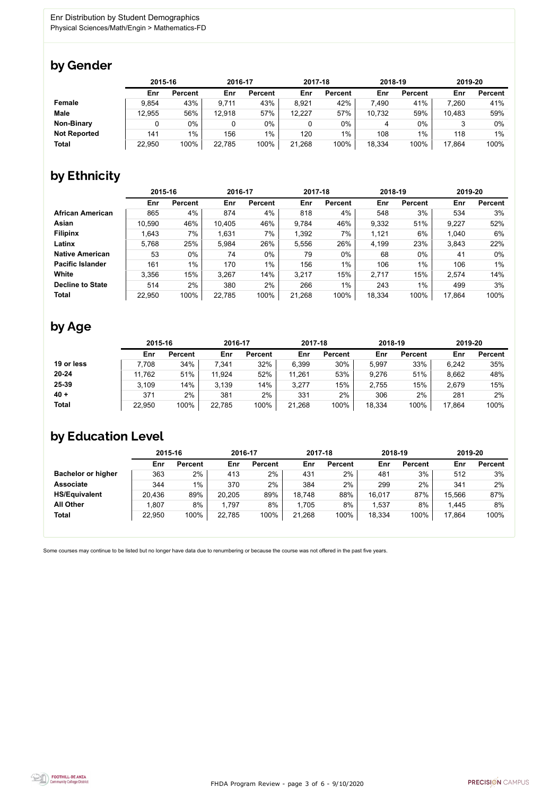FHDA Program Review - page 3 of 6 - 9/10/2020



Some courses may continue to be listed but no longer have data due to renumbering or because the course was not offered in the past five years.



### by Gender

|                     |        | 2015-16        |        | 2016-17        |        | 2017-18        |        | 2018-19        |        | 2019-20        |  |
|---------------------|--------|----------------|--------|----------------|--------|----------------|--------|----------------|--------|----------------|--|
|                     | Enr    | <b>Percent</b> | Enr    | <b>Percent</b> | Enr    | <b>Percent</b> | Enr    | <b>Percent</b> | Enr    | <b>Percent</b> |  |
| Female              | 9,854  | 43%            | 9,711  | 43%            | 8,921  | 42%            | 7,490  | 41%            | 7,260  | 41%            |  |
| <b>Male</b>         | 12,955 | 56%            | 12,918 | 57%            | 12,227 | 57%            | 10,732 | 59%            | 10,483 | 59%            |  |
| <b>Non-Binary</b>   |        | 0%             |        | 0%             | 0      | 0%             | 4      | $0\%$          |        | 0%             |  |
| <b>Not Reported</b> | 141    | $1\%$          | 156    | $1\%$          | 120    | 1%             | 108    | 1%             | 118    | $1\%$          |  |
| <b>Total</b>        | 22,950 | 100%           | 22,785 | 100%           | 21,268 | 100%           | 18,334 | 100%           | 17,864 | 100%           |  |

# by Ethnicity

|                         | 2015-16 |                | 2016-17 |                | 2017-18 |                | 2018-19 |                | 2019-20 |                |
|-------------------------|---------|----------------|---------|----------------|---------|----------------|---------|----------------|---------|----------------|
|                         | Enr     | <b>Percent</b> | Enr     | <b>Percent</b> | Enr     | <b>Percent</b> | Enr     | <b>Percent</b> | Enr     | <b>Percent</b> |
| <b>African American</b> | 865     | 4%             | 874     | 4%             | 818     | 4%             | 548     | 3%             | 534     | 3%             |
| Asian                   | 10,590  | 46%            | 10,405  | 46%            | 9,784   | 46%            | 9,332   | 51%            | 9,227   | 52%            |
| <b>Filipinx</b>         | .643    | 7%             | 1,631   | 7%             | 1,392   | 7%             | 1,121   | 6%             | 1,040   | $6\%$          |
| Latinx                  | 5,768   | 25%            | 5,984   | 26%            | 5,556   | 26%            | 4,199   | 23%            | 3,843   | 22%            |
| <b>Native American</b>  | 53      | $0\%$          | 74      | 0%             | 79      | 0%             | 68      | $0\%$          | 41      | 0%             |
| <b>Pacific Islander</b> | 161     | $1\%$          | 170     | $1\%$          | 156     | $1\%$          | 106     | 1%             | 106     | $1\%$          |
| White                   | 3,356   | 15%            | 3,267   | 14%            | 3,217   | 15%            | 2,717   | 15%            | 2,574   | 14%            |
| <b>Decline to State</b> | 514     | 2%             | 380     | 2%             | 266     | $1\%$          | 243     | $1\%$          | 499     | 3%             |
| <b>Total</b>            | 22,950  | 100%           | 22,785  | 100%           | 21,268  | 100%           | 18,334  | 100%           | 17,864  | 100%           |

### by Age

|              | 2015-16 |                | 2016-17 |                | 2017-18 |                | 2018-19 |                | 2019-20 |                |
|--------------|---------|----------------|---------|----------------|---------|----------------|---------|----------------|---------|----------------|
|              | Enr     | <b>Percent</b> | Enr     | <b>Percent</b> | Enr     | <b>Percent</b> | Enr     | <b>Percent</b> | Enr     | <b>Percent</b> |
| 19 or less   | 7,708   | 34%            | 7,341   | 32%            | 6,399   | 30%            | 5,997   | 33%            | 6,242   | 35%            |
| $20 - 24$    | 11,762  | 51%            | 11,924  | 52%            | 11,261  | 53%            | 9,276   | 51%            | 8,662   | 48%            |
| 25-39        | 3,109   | 14%            | 3,139   | 14%            | 3,277   | 15%            | 2,755   | 15%            | 2,679   | 15%            |
| $40 +$       | 371     | 2%             | 381     | 2%             | 331     | 2%             | 306     | 2%             | 281     | 2%             |
| <b>Total</b> | 22,950  | 100%           | 22,785  | 100%           | 21,268  | 100%           | 18,334  | 100%           | 17,864  | 100%           |

## by Education Level

|                           | 2015-16 |                | 2016-17 |                | 2017-18 |                | 2018-19 |                | 2019-20 |                |
|---------------------------|---------|----------------|---------|----------------|---------|----------------|---------|----------------|---------|----------------|
|                           | Enr     | <b>Percent</b> | Enr     | <b>Percent</b> | Enr     | <b>Percent</b> | Enr     | <b>Percent</b> | Enr     | <b>Percent</b> |
| <b>Bachelor or higher</b> | 363     | 2%             | 413     | $2\%$          | 431     | 2%             | 481     | 3%             | 512     | 3%             |
| <b>Associate</b>          | 344     | $1\%$          | 370     | 2%             | 384     | 2%             | 299     | 2%             | 341     | 2%             |
| <b>HS/Equivalent</b>      | 20,436  | 89%            | 20,205  | 89%            | 18,748  | 88%            | 16,017  | 87%            | 15,566  | 87%            |
| <b>All Other</b>          | 1,807   | 8%             | 1,797   | 8%             | 1,705   | 8%             | ,537    | 8%             | 1,445   | 8%             |
| <b>Total</b>              | 22,950  | 100%           | 22,785  | 100%           | 21,268  | 100%           | 18,334  | 100%           | 17,864  | 100%           |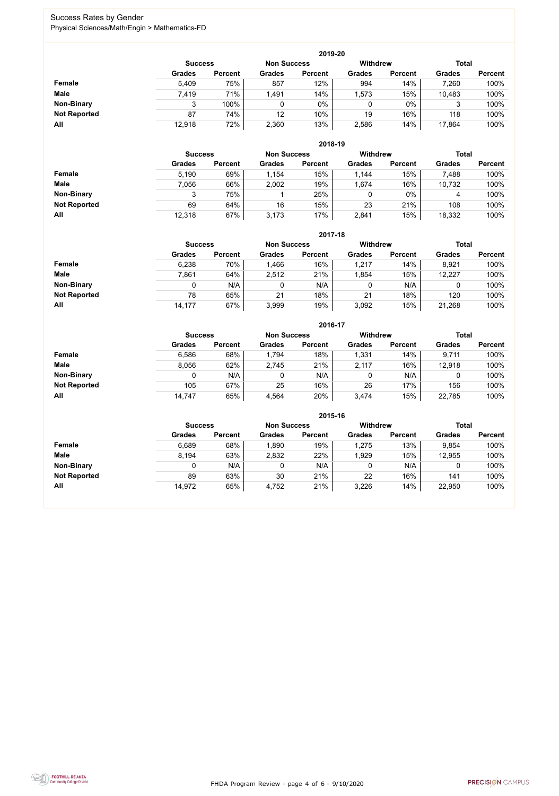FHDA Program Review - page 4 of 6 - 9/10/2020



### Success Rates by Gender Physical Sciences/Math/Engin > Mathematics-FD

|                     |                | 2019-20        |                    |                |                 |                |               |                |  |  |  |  |  |  |
|---------------------|----------------|----------------|--------------------|----------------|-----------------|----------------|---------------|----------------|--|--|--|--|--|--|
|                     | <b>Success</b> |                | <b>Non Success</b> |                | <b>Withdrew</b> |                | <b>Total</b>  |                |  |  |  |  |  |  |
|                     | <b>Grades</b>  | <b>Percent</b> | <b>Grades</b>      | <b>Percent</b> | <b>Grades</b>   | <b>Percent</b> | <b>Grades</b> | <b>Percent</b> |  |  |  |  |  |  |
| <b>Female</b>       | 5,409          | 75%            | 857                | 12%            | 994             | 14%            | 7,260         | 100%           |  |  |  |  |  |  |
| <b>Male</b>         | 7,419          | 71%            | 1,491              | 14%            | 1,573           | 15%            | 10,483        | 100%           |  |  |  |  |  |  |
| <b>Non-Binary</b>   | ◠              | 100%           |                    | $0\%$          | 0               | $0\%$          | 3             | 100%           |  |  |  |  |  |  |
| <b>Not Reported</b> | 87             | 74%            | 12                 | 10%            | 19              | 16%            | 118           | 100%           |  |  |  |  |  |  |
| All                 | 12,918         | 72%            | 2,360              | 13%            | 2,586           | 14%            | 17,864        | 100%           |  |  |  |  |  |  |

|                     |                | 2018-19        |                    |                |                 |                |               |                |  |  |  |  |  |
|---------------------|----------------|----------------|--------------------|----------------|-----------------|----------------|---------------|----------------|--|--|--|--|--|
|                     | <b>Success</b> |                | <b>Non Success</b> |                | <b>Withdrew</b> |                | <b>Total</b>  |                |  |  |  |  |  |
|                     | <b>Grades</b>  | <b>Percent</b> | <b>Grades</b>      | <b>Percent</b> | <b>Grades</b>   | <b>Percent</b> | <b>Grades</b> | <b>Percent</b> |  |  |  |  |  |
| Female              | 5,190          | 69%            | 1,154              | 15%            | 1,144           | 15%            | 7,488         | 100%           |  |  |  |  |  |
| <b>Male</b>         | 7,056          | 66%            | 2,002              | 19%            | 1,674           | 16%            | 10,732        | 100%           |  |  |  |  |  |
| <b>Non-Binary</b>   | 3              | 75%            |                    | 25%            | 0               | $0\%$          | 4             | 100%           |  |  |  |  |  |
| <b>Not Reported</b> | 69             | 64%            | 16                 | 15%            | 23              | 21%            | 108           | 100%           |  |  |  |  |  |
| All                 | 12,318         | 67%            | 3,173              | 17%            | 2,841           | 15%            | 18,332        | 100%           |  |  |  |  |  |

|                     |               | 2017-18                                                                 |       |                |               |                |               |                |  |  |  |  |  |
|---------------------|---------------|-------------------------------------------------------------------------|-------|----------------|---------------|----------------|---------------|----------------|--|--|--|--|--|
|                     |               | <b>Withdrew</b><br><b>Total</b><br><b>Non Success</b><br><b>Success</b> |       |                |               |                |               |                |  |  |  |  |  |
|                     | <b>Grades</b> | <b>Percent</b>                                                          |       | <b>Percent</b> | <b>Grades</b> | <b>Percent</b> | <b>Grades</b> | <b>Percent</b> |  |  |  |  |  |
| Female              | 6,238         | 70%                                                                     | 1,466 | 16%            | 1,217         | 14%            | 8,921         | 100%           |  |  |  |  |  |
| <b>Male</b>         | 7,861         | 64%                                                                     | 2,512 | 21%            | 1,854         | 15%            | 12,227        | 100%           |  |  |  |  |  |
| <b>Non-Binary</b>   | 0             | N/A                                                                     |       | N/A            | 0             | N/A            | 0             | 100%           |  |  |  |  |  |
| <b>Not Reported</b> | 78            | 65%                                                                     | 21    | 18%            | 21            | 18%            | 120           | 100%           |  |  |  |  |  |
| All                 | 14,177        | 67%                                                                     | 3,999 | 19%            | 3,092         | 15%            | 21,268        | 100%           |  |  |  |  |  |

|                     |                | 2016-17            |               |                 |               |                |               |                |  |  |
|---------------------|----------------|--------------------|---------------|-----------------|---------------|----------------|---------------|----------------|--|--|
|                     | <b>Success</b> | <b>Non Success</b> |               | <b>Withdrew</b> |               |                | <b>Total</b>  |                |  |  |
|                     | <b>Grades</b>  | <b>Percent</b>     | <b>Grades</b> | <b>Percent</b>  | <b>Grades</b> | <b>Percent</b> | <b>Grades</b> | <b>Percent</b> |  |  |
| Female              | 6,586          | 68%                | 1,794         | 18%             | 1,331         | 14%            | 9,711         | 100%           |  |  |
| <b>Male</b>         | 8,056          | 62%                | 2,745         | 21%             | 2,117         | 16%            | 12,918        | 100%           |  |  |
| <b>Non-Binary</b>   | 0              | N/A                |               | N/A             | 0             | N/A            |               | 100%           |  |  |
| <b>Not Reported</b> | 105            | 67%                | 25            | 16%             | 26            | 17%            | 156           | 100%           |  |  |
| All                 | 14,747         | 65%                | 4,564         | 20%             | 3,474         | 15%            | 22,785        | 100%           |  |  |

|                     |                                      | 2015-16        |               |                |                 |                |               |                |  |  |
|---------------------|--------------------------------------|----------------|---------------|----------------|-----------------|----------------|---------------|----------------|--|--|
|                     | <b>Non Success</b><br><b>Success</b> |                |               |                | <b>Withdrew</b> |                | <b>Total</b>  |                |  |  |
|                     | <b>Grades</b>                        | <b>Percent</b> | <b>Grades</b> | <b>Percent</b> | <b>Grades</b>   | <b>Percent</b> | <b>Grades</b> | <b>Percent</b> |  |  |
| <b>Female</b>       | 6,689                                | 68%            | 1,890         | 19%            | 1,275           | 13%            | 9,854         | 100%           |  |  |
| <b>Male</b>         | 8,194                                | 63%            | 2,832         | 22%            | 1,929           | 15%            | 12,955        | 100%           |  |  |
| <b>Non-Binary</b>   |                                      | N/A            | 0             | N/A            |                 | N/A            |               | 100%           |  |  |
| <b>Not Reported</b> | 89                                   | 63%            | 30            | 21%            | 22              | 16%            | 141           | 100%           |  |  |
| All                 | 14,972                               | 65%            | 4,752         | 21%            | 3,226           | 14%            | 22,950        | 100%           |  |  |

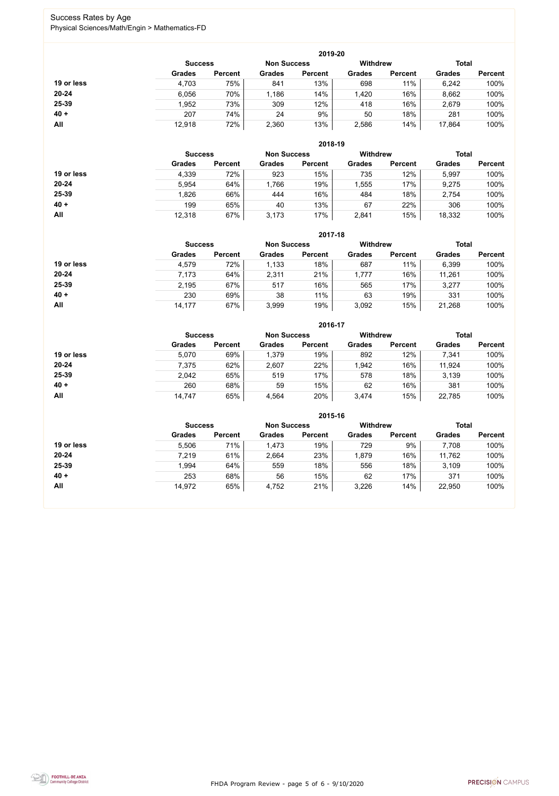FHDA Program Review - page 5 of 6 - 9/10/2020



### Success Rates by Age Physical Sciences/Math/Engin > Mathematics-FD

|            | 2019-20        |                    |               |                |                                 |                |               |                |  |  |
|------------|----------------|--------------------|---------------|----------------|---------------------------------|----------------|---------------|----------------|--|--|
|            | <b>Success</b> | <b>Non Success</b> |               |                | <b>Total</b><br><b>Withdrew</b> |                |               |                |  |  |
|            | <b>Grades</b>  | <b>Percent</b>     | <b>Grades</b> | <b>Percent</b> | <b>Grades</b>                   | <b>Percent</b> | <b>Grades</b> | <b>Percent</b> |  |  |
| 19 or less | 4,703          | 75%                | 841           | 13%            | 698                             | 11%            | 6,242         | 100%           |  |  |
| $20 - 24$  | 6,056          | 70%                | ,186          | 14%            | ,420                            | 16%            | 8,662         | 100%           |  |  |
| 25-39      | 1,952          | 73%                | 309           | 12%            | 418                             | 16%            | 2,679         | 100%           |  |  |
| $40 +$     | 207            | 74%                | 24            | 9%             | 50                              | 18%            | 281           | 100%           |  |  |
| All        | 12,918         | 72%                | 2,360         | 13%            | 2,586                           | 14%            | 17,864        | 100%           |  |  |

|            | 2018-19        |                    |               |                 |               |                |               |                |  |  |
|------------|----------------|--------------------|---------------|-----------------|---------------|----------------|---------------|----------------|--|--|
|            | <b>Success</b> | <b>Non Success</b> |               | <b>Withdrew</b> |               | <b>Total</b>   |               |                |  |  |
|            | <b>Grades</b>  | <b>Percent</b>     | <b>Grades</b> | <b>Percent</b>  | <b>Grades</b> | <b>Percent</b> | <b>Grades</b> | <b>Percent</b> |  |  |
| 19 or less | 4,339          | 72%                | 923           | 15%             | 735           | 12%            | 5,997         | 100%           |  |  |
| $20 - 24$  | 5,954          | 64%                | 1,766         | 19%             | 1,555         | 17%            | 9,275         | 100%           |  |  |
| 25-39      | 1,826          | 66%                | 444           | 16%             | 484           | 18%            | 2,754         | 100%           |  |  |
| $40 +$     | 199            | 65%                | 40            | 13%             | 67            | 22%            | 306           | 100%           |  |  |
| All        | 12,318         | 67%                | 3,173         | 17%             | 2,841         | 15%            | 18,332        | 100%           |  |  |

|            | 2017-18                              |                |               |                |                 |                |               |                |  |
|------------|--------------------------------------|----------------|---------------|----------------|-----------------|----------------|---------------|----------------|--|
|            | <b>Non Success</b><br><b>Success</b> |                |               |                | <b>Withdrew</b> |                | <b>Total</b>  |                |  |
|            | <b>Grades</b>                        | <b>Percent</b> | <b>Grades</b> | <b>Percent</b> | <b>Grades</b>   | <b>Percent</b> | <b>Grades</b> | <b>Percent</b> |  |
| 19 or less | 4,579                                | 72%            | 1,133         | 18%            | 687             | 11%            | 6,399         | 100%           |  |
| $20 - 24$  | 7,173                                | 64%            | 2,311         | 21%            | 1,777           | 16%            | 11,261        | 100%           |  |
| 25-39      | 2,195                                | 67%            | 517           | 16%            | 565             | 17%            | 3,277         | 100%           |  |
| $40 +$     | 230                                  | 69%            | 38            | 11%            | 63              | 19%            | 331           | 100%           |  |
| All        | 14,177                               | 67%            | 3,999         | 19%            | 3,092           | 15%            | 21,268        | 100%           |  |

|            | 2016-17        |                    |               |                 |               |                |               |                |  |  |
|------------|----------------|--------------------|---------------|-----------------|---------------|----------------|---------------|----------------|--|--|
|            | <b>Success</b> | <b>Non Success</b> |               | <b>Withdrew</b> |               | <b>Total</b>   |               |                |  |  |
|            | <b>Grades</b>  | <b>Percent</b>     | <b>Grades</b> | <b>Percent</b>  | <b>Grades</b> | <b>Percent</b> | <b>Grades</b> | <b>Percent</b> |  |  |
| 19 or less | 5,070          | 69%                | 1,379         | 19%             | 892           | 12%            | 7,341         | 100%           |  |  |
| $20 - 24$  | 7,375          | 62%                | 2,607         | 22%             | 1,942         | 16%            | 11,924        | 100%           |  |  |
| 25-39      | 2,042          | 65%                | 519           | 17%             | 578           | 18%            | 3,139         | 100%           |  |  |
| $40 +$     | 260            | 68%                | 59            | 15%             | 62            | 16%            | 381           | 100%           |  |  |
| All        | 14,747         | 65%                | 4,564         | 20%             | 3,474         | 15%            | 22,785        | 100%           |  |  |

|            | 2015-16                              |                |               |                |                 |                |               |                |  |
|------------|--------------------------------------|----------------|---------------|----------------|-----------------|----------------|---------------|----------------|--|
|            | <b>Non Success</b><br><b>Success</b> |                |               |                | <b>Withdrew</b> |                | <b>Total</b>  |                |  |
|            | <b>Grades</b>                        | <b>Percent</b> | <b>Grades</b> | <b>Percent</b> | <b>Grades</b>   | <b>Percent</b> | <b>Grades</b> | <b>Percent</b> |  |
| 19 or less | 5,506                                | 71%            | 1,473         | 19%            | 729             | 9%             | 7,708         | 100%           |  |
| $20 - 24$  | 7,219                                | 61%            | 2,664         | 23%            | 1,879           | 16%            | 11,762        | 100%           |  |
| 25-39      | 1,994                                | 64%            | 559           | 18%            | 556             | 18%            | 3,109         | 100%           |  |
| $40 +$     | 253                                  | 68%            | 56            | 15%            | 62              | 17%            | 371           | 100%           |  |
| All        | 14,972                               | 65%            | 4,752         | 21%            | 3,226           | 14%            | 22,950        | 100%           |  |